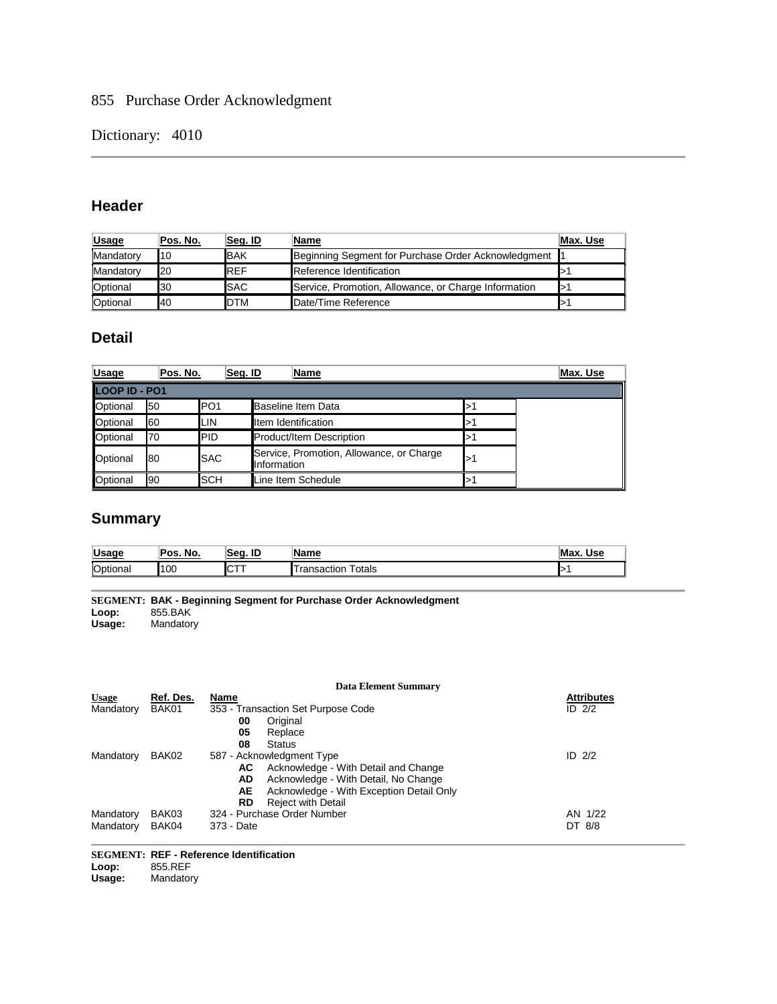## 855 Purchase Order Acknowledgment

Dictionary: 4010

### **Header**

| <b>Usage</b>    | Pos. No. | Seq. ID     | Name                                                    | Max. Use |
|-----------------|----------|-------------|---------------------------------------------------------|----------|
| Mandatory       | 10       | <b>BAK</b>  | Beginning Segment for Purchase Order Acknowledgment   1 |          |
| Mandatory       | 20       | <b>REF</b>  | Reference Identification                                |          |
| Optional        | 30       | <b>SAC</b>  | Service, Promotion, Allowance, or Charge Information    |          |
| <b>Optional</b> | 40       | <b>IDTM</b> | Date/Time Reference                                     |          |

### **Detail**

| <b>Usage</b>         | Pos. No. | Seg. ID          |             | Name                                     | Max. Use |
|----------------------|----------|------------------|-------------|------------------------------------------|----------|
| <b>LOOP ID - PO1</b> |          |                  |             |                                          |          |
| Optional             | 50       | IPO <sub>1</sub> |             | <b>Baseline Item Data</b>                |          |
| Optional             | 60       | ILIN             |             | <b>Item Identification</b>               |          |
| Optional             | 70       | <b>IPID</b>      |             | Product/Item Description                 |          |
| Optional             | 80       | <b>ISAC</b>      | Information | Service, Promotion, Allowance, or Charge |          |
| Optional             | 90       | <b>ISCH</b>      |             | Line Item Schedule                       |          |

# **Summary**

| <b>Lleane</b>   | No.  | ID         | 'Name             | <b>Use</b> |
|-----------------|------|------------|-------------------|------------|
| vəay            | Pos. | 'Sea.      |                   | M          |
| <b>Optional</b> | 100  | <b>ICT</b> | otals<br>าsactior |            |

**SEGMENT: BAK - Beginning Segment for Purchase Order Acknowledgment Loop:** 855.BAK **Usage:** Mandatory

|              |           | <b>Data Element Summary</b>                    |                   |
|--------------|-----------|------------------------------------------------|-------------------|
| <b>Usage</b> | Ref. Des. | Name                                           | <b>Attributes</b> |
| Mandatory    | BAK01     | 353 - Transaction Set Purpose Code             | ID $2/2$          |
|              |           | Original<br>00                                 |                   |
|              |           | 05<br>Replace                                  |                   |
|              |           | 08<br><b>Status</b>                            |                   |
| Mandatory    | BAK02     | 587 - Acknowledgment Type                      | ID $2/2$          |
|              |           | Acknowledge - With Detail and Change<br>AC.    |                   |
|              |           | AD<br>Acknowledge - With Detail, No Change     |                   |
|              |           | Acknowledge - With Exception Detail Only<br>AE |                   |
|              |           | <b>Reject with Detail</b><br>RD                |                   |
| Mandatory    | BAK03     | 324 - Purchase Order Number                    | AN 1/22           |
| Mandatory    | BAK04     | 373 - Date                                     | DT 8/8            |

# **SEGMENT: REF - Reference Identification**

Loop: 855.REF<br>Usage: Mandator **Usage:** Mandatory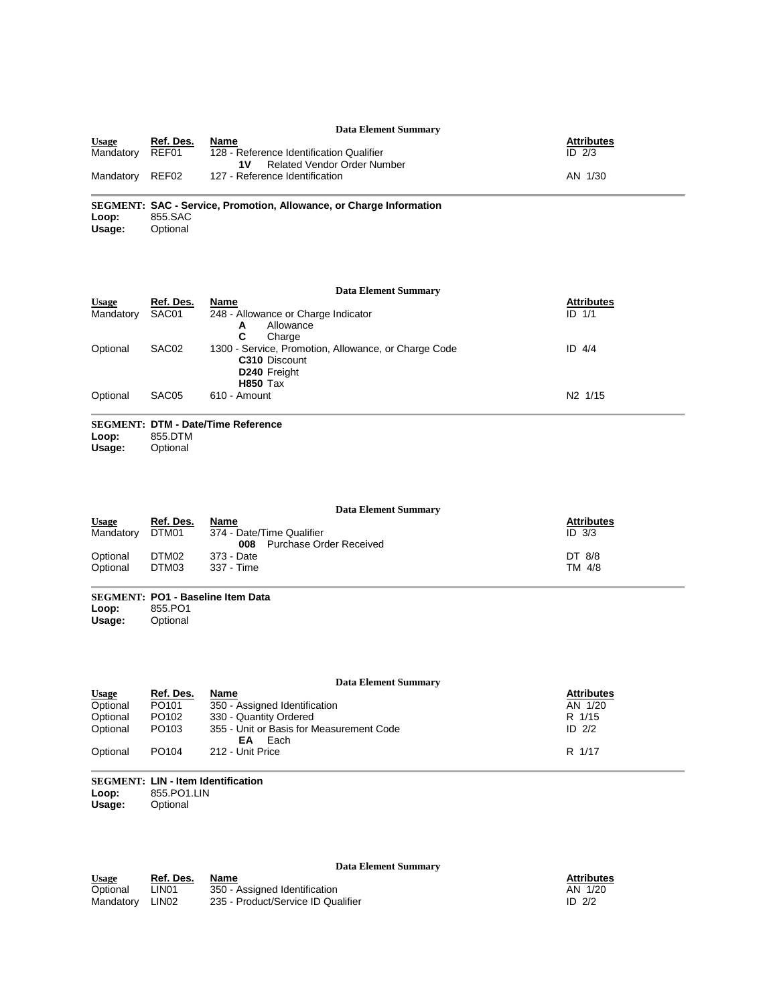|              |           | <b>Data Element Summary</b>                                             |                   |
|--------------|-----------|-------------------------------------------------------------------------|-------------------|
| <b>Usage</b> | Ref. Des. | Name                                                                    | <b>Attributes</b> |
| Mandatory    | REF01     | 128 - Reference Identification Qualifier<br>Related Vendor Order Number | ID $2/3$          |
| Mandatory    | REF02     | 127 - Reference Identification                                          | AN 1/30           |

**SEGMENT: SAC - Service, Promotion, Allowance, or Charge Information** Loop: 855.SAC<br>Usage: Optional **Optional** 

**Data Element Summary Usage Ref. Des. Name Attributes** Mandatory SAC01 248 - Allowance or Charge Indicator **A** Allowance<br>**C** Charge **C** Charge Attributes<br>ID 1/1 Optional SAC02 1300 - Service, Promotion, Allowance, or Charge Code **C310** Discount **D240** Freight **H850** Tax ID 4/4 Optional SAC05 610 - Amount N2 1/15

#### **SEGMENT: DTM - Date/Time Reference Loop:** 855.DTM

**Usage:** Optional

**Data Element Summary Usage Ref. Des. Name Attributes** Mandatory DTM01 374 - Date/Time Qualifier **008** Purchase Order Received<br>373 - Date ID 3/3 Optional DTM02 373 - Date DT 8/8 Optional DTM03 337 - Time TM 4/8

### **SEGMENT: PO1 - Baseline Item Data**

Loop: 855.PO1<br>Usage: Optional **Usage:** Optional

#### **Data Element Summary**

| <b>Usage</b> | Ref. Des.         | Name                                                   | <b>Attributes</b> |
|--------------|-------------------|--------------------------------------------------------|-------------------|
| Optional     | PO <sub>101</sub> | 350 - Assigned Identification                          | AN 1/20           |
| Optional     | PO <sub>102</sub> | 330 - Quantity Ordered                                 | R 1/15            |
| Optional     | PO <sub>103</sub> | 355 - Unit or Basis for Measurement Code<br>Each<br>EΑ | ID $2/2$          |
| Optional     | PO <sub>104</sub> | 212 - Unit Price                                       | R 1/17            |

### **SEGMENT: LIN - Item Identification** Loop: 855.PO1.LIN<br>Usage: Optional

**Optional** 

**Data Element Summary**

| <u>Usage</u> | Ref. Des.         | Name                               | <b>Attributes</b> |
|--------------|-------------------|------------------------------------|-------------------|
| Optional     | LIN <sub>01</sub> | 350 - Assigned Identification      | AN 1/20           |
| Mandatorv    | LIN02             | 235 - Product/Service ID Qualifier | ID $2/2$          |

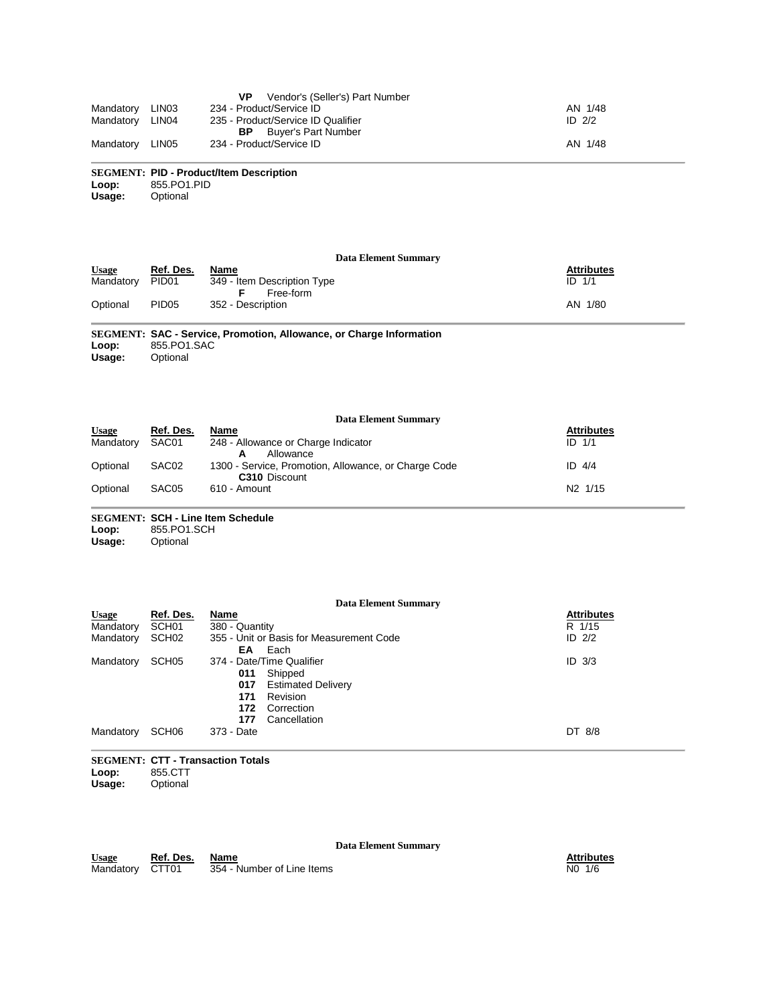|                 |       | Vendor's (Seller's) Part Number<br>VP. |          |
|-----------------|-------|----------------------------------------|----------|
| Mandatory       | LIN03 | 234 - Product/Service ID               | AN 1/48  |
| Mandatory LIN04 |       | 235 - Product/Service ID Qualifier     | ID $2/2$ |
|                 |       | Buver's Part Number<br>BP.             |          |
| Mandatory       | LIN05 | 234 - Product/Service ID               | AN 1/48  |

#### **SEGMENT: PID - Product/Item Description Loop:** 855.PO1.PID

**Usage:** Optional

|              |           | Data Element Summary                                             |                   |
|--------------|-----------|------------------------------------------------------------------|-------------------|
| <b>Usage</b> | Ref. Des. | Name                                                             | <b>Attributes</b> |
| Mandatory    | PID01     | 349 - Item Description Type<br>Free-form                         | $ID$ $1/1$        |
| Optional     | PID05     | 352 - Description                                                | AN 1/80           |
|              |           | CEOMENT, CAC, Camina Dramation, Allowange, as Charge Information |                   |

**SEGMENT: SAC - Service, Promotion, Allowance, or Charge Information** Loop: 855.PO1.SAC<br>Usage: Optional **Optional** 

| <b>Data Element Summary</b> |                   |                                                                              |                     |  |  |
|-----------------------------|-------------------|------------------------------------------------------------------------------|---------------------|--|--|
| Usage                       | Ref. Des.         | Name                                                                         | <b>Attributes</b>   |  |  |
| Mandatory                   | SAC01             | 248 - Allowance or Charge Indicator<br>Allowance                             | $ID$ $1/1$          |  |  |
| Optional                    | SAC <sub>02</sub> | 1300 - Service, Promotion, Allowance, or Charge Code<br><b>C310</b> Discount | ID $4/4$            |  |  |
| Optional                    | SAC <sub>05</sub> | 610 - Amount                                                                 | N <sub>2</sub> 1/15 |  |  |

#### **SEGMENT: SCH - Line Item Schedule** Loop: 855.PO1.SCH<br>Usage: Optional **Optional**

| Data Element Summary |                   |                                          |                   |  |
|----------------------|-------------------|------------------------------------------|-------------------|--|
| <b>Usage</b>         | Ref. Des.         | Name                                     | <b>Attributes</b> |  |
| Mandatory            | SCH <sub>01</sub> | 380 - Quantity                           | R 1/15            |  |
| Mandatory            | SCH <sub>02</sub> | 355 - Unit or Basis for Measurement Code | ID $2/2$          |  |
|                      |                   | Each<br>EA                               |                   |  |
| Mandatory            | SCH <sub>05</sub> | 374 - Date/Time Qualifier                | $ID$ $3/3$        |  |
|                      |                   | Shipped<br>011                           |                   |  |
|                      |                   | <b>Estimated Delivery</b><br>017         |                   |  |
|                      |                   | Revision<br>171                          |                   |  |
|                      |                   | 172<br>Correction                        |                   |  |
|                      |                   | Cancellation<br>177                      |                   |  |
| Mandatory            | SCH <sub>06</sub> | 373 - Date                               | DT 8/8            |  |
|                      |                   |                                          |                   |  |

**SEGMENT: CTT - Transaction Totals Loop:** 855.CTT **Optional** 

**Data Element Summary**

**Usage Ref. Des. Name Attributes** Mandatory CTT01 354 - Number of Line Items No 1/6